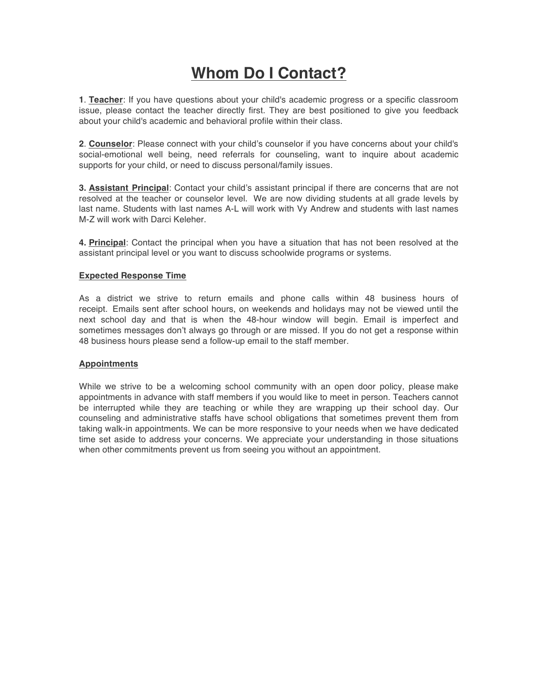# **Whom Do I Contact?**

**1**. **Teacher**: If you have questions about your child's academic progress or a specific classroom issue, please contact the teacher directly first. They are best positioned to give you feedback about your child's academic and behavioral profile within their class.

**2**. **Counselor**: Please connect with your child's counselor if you have concerns about your child's social-emotional well being, need referrals for counseling, want to inquire about academic supports for your child, or need to discuss personal/family issues.

**3. Assistant Principal**: Contact your child's assistant principal if there are concerns that are not resolved at the teacher or counselor level. We are now dividing students at all grade levels by last name. Students with last names A-L will work with Vy Andrew and students with last names M-Z will work with Darci Keleher.

**4. Principal**: Contact the principal when you have a situation that has not been resolved at the assistant principal level or you want to discuss schoolwide programs or systems.

## **Expected Response Time**

As a district we strive to return emails and phone calls within 48 business hours of receipt. Emails sent after school hours, on weekends and holidays may not be viewed until the next school day and that is when the 48-hour window will begin. Email is imperfect and sometimes messages don't always go through or are missed. If you do not get a response within 48 business hours please send a follow-up email to the staff member.

## **Appointments**

While we strive to be a welcoming school community with an open door policy, please make appointments in advance with staff members if you would like to meet in person. Teachers cannot be interrupted while they are teaching or while they are wrapping up their school day. Our counseling and administrative staffs have school obligations that sometimes prevent them from taking walk-in appointments. We can be more responsive to your needs when we have dedicated time set aside to address your concerns. We appreciate your understanding in those situations when other commitments prevent us from seeing you without an appointment.